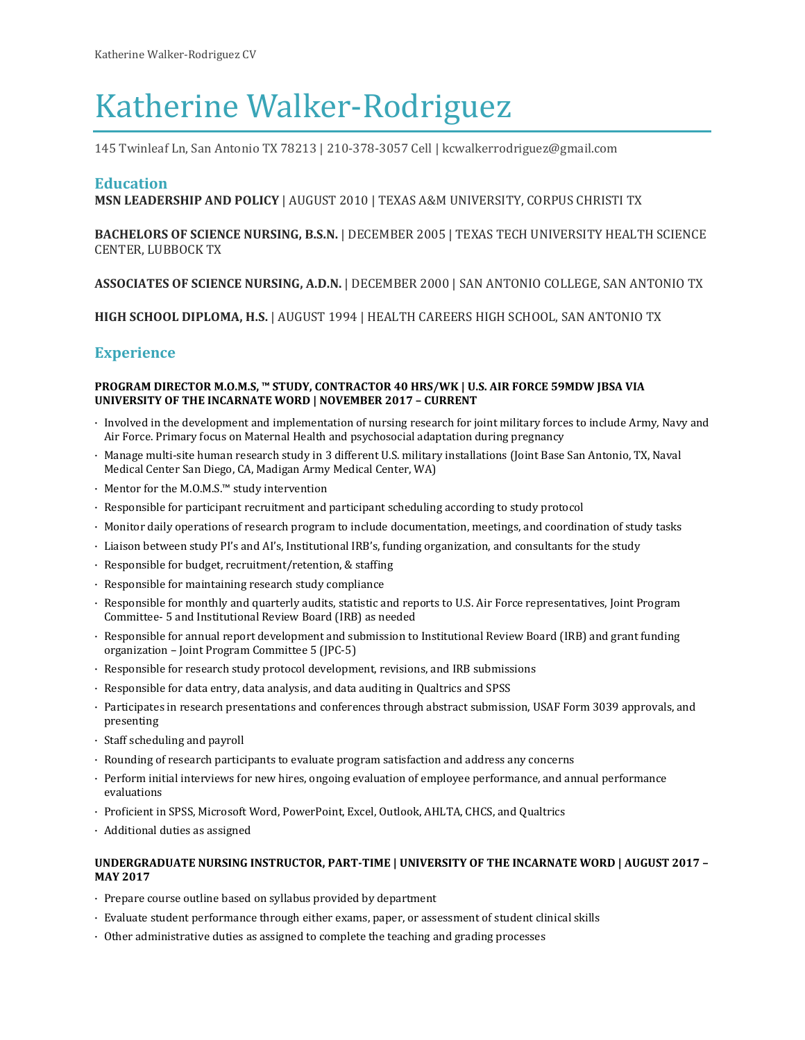# Katherine Walker-Rodriguez

145 Twinleaf Ln, San Antonio TX 78213 | 210-378-3057 Cell | kcwalkerrodriguez@gmail.com

## **Education**

**MSN LEADERSHIP AND POLICY** | AUGUST 2010 | TEXAS A&M UNIVERSITY, CORPUS CHRISTI TX

## **BACHELORS OF SCIENCE NURSING, B.S.N.** | DECEMBER 2005 | TEXAS TECH UNIVERSITY HEALTH SCIENCE CENTER, LUBBOCK TX

**ASSOCIATES OF SCIENCE NURSING, A.D.N.** | DECEMBER 2000 | SAN ANTONIO COLLEGE, SAN ANTONIO TX

**HIGH SCHOOL DIPLOMA, H.S.** | AUGUST 1994 | HEALTH CAREERS HIGH SCHOOL, SAN ANTONIO TX

# **Experience**

#### **PROGRAM DIRECTOR M.O.M.S, ™ STUDY, CONTRACTOR 40 HRS/WK | U.S. AIR FORCE 59MDW JBSA VIA UNIVERSITY OF THE INCARNATE WORD | NOVEMBER 2017 – CURRENT**

- · Involved in the development and implementation of nursing research for joint military forces to include Army, Navy and Air Force. Primary focus on Maternal Health and psychosocial adaptation during pregnancy
- · Manage multi-site human research study in 3 different U.S. military installations (Joint Base San Antonio, TX, Naval Medical Center San Diego, CA, Madigan Army Medical Center, WA)
- · Mentor for the M.O.M.S.™ study intervention
- · Responsible for participant recruitment and participant scheduling according to study protocol
- · Monitor daily operations of research program to include documentation, meetings, and coordination of study tasks
- · Liaison between study PI's and AI's, Institutional IRB's, funding organization, and consultants for the study
- · Responsible for budget, recruitment/retention, & staffing
- · Responsible for maintaining research study compliance
- · Responsible for monthly and quarterly audits, statistic and reports to U.S. Air Force representatives, Joint Program Committee- 5 and Institutional Review Board (IRB) as needed
- · Responsible for annual report development and submission to Institutional Review Board (IRB) and grant funding organization – Joint Program Committee 5 (JPC-5)
- · Responsible for research study protocol development, revisions, and IRB submissions
- · Responsible for data entry, data analysis, and data auditing in Qualtrics and SPSS
- · Participates in research presentations and conferences through abstract submission, USAF Form 3039 approvals, and presenting
- · Staff scheduling and payroll
- · Rounding of research participants to evaluate program satisfaction and address any concerns
- · Perform initial interviews for new hires, ongoing evaluation of employee performance, and annual performance evaluations
- · Proficient in SPSS, Microsoft Word, PowerPoint, Excel, Outlook, AHLTA, CHCS, and Qualtrics
- · Additional duties as assigned

#### **UNDERGRADUATE NURSING INSTRUCTOR, PART-TIME | UNIVERSITY OF THE INCARNATE WORD | AUGUST 2017 – MAY 2017**

- · Prepare course outline based on syllabus provided by department
- · Evaluate student performance through either exams, paper, or assessment of student clinical skills
- · Other administrative duties as assigned to complete the teaching and grading processes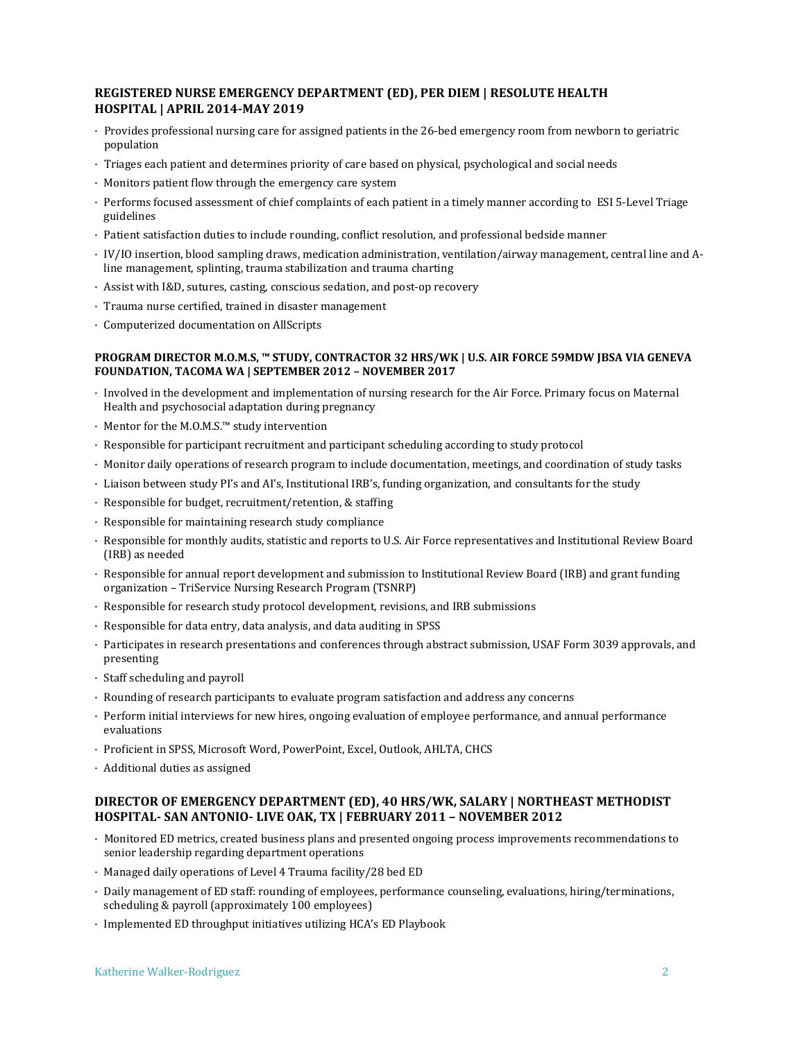## **REGISTERED NURSE EMERGENCY DEPARTMENT (ED), PER DIEM | RESOLUTE HEALTH HOSPITAL | APRIL 2014-MAY 2019**

- · Provides professional nursing care for assigned patients in the 26-bed emergency room from newborn to geriatric population
- · Triages each patient and determines priority of care based on physical, psychological and social needs
- · Monitors patient flow through the emergency care system
- · Performs focused assessment of chief complaints of each patient in a timely manner according to ESI 5-Level Triage guidelines
- · Patient satisfaction duties to include rounding, conflict resolution, and professional bedside manner
- · IV/IO insertion, blood sampling draws, medication administration, ventilation/airway management, central line and Aline management, splinting, trauma stabilization and trauma charting
- · Assist with I&D, sutures, casting, conscious sedation, and post-op recovery
- · Trauma nurse certified, trained in disaster management
- · Computerized documentation on AllScripts

#### **PROGRAM DIRECTOR M.O.M.S, ™ STUDY, CONTRACTOR 32 HRS/WK | U.S. AIR FORCE 59MDW JBSA VIA GENEVA FOUNDATION, TACOMA WA | SEPTEMBER 2012 – NOVEMBER 2017**

- · Involved in the development and implementation of nursing research for the Air Force. Primary focus on Maternal Health and psychosocial adaptation during pregnancy
- · Mentor for the M.O.M.S.™ study intervention
- · Responsible for participant recruitment and participant scheduling according to study protocol
- · Monitor daily operations of research program to include documentation, meetings, and coordination of study tasks
- · Liaison between study PI's and AI's, Institutional IRB's, funding organization, and consultants for the study
- · Responsible for budget, recruitment/retention, & staffing
- · Responsible for maintaining research study compliance
- · Responsible for monthly audits, statistic and reports to U.S. Air Force representatives and Institutional Review Board (IRB) as needed
- · Responsible for annual report development and submission to Institutional Review Board (IRB) and grant funding organization – TriService Nursing Research Program (TSNRP)
- · Responsible for research study protocol development, revisions, and IRB submissions
- · Responsible for data entry, data analysis, and data auditing in SPSS
- · Participates in research presentations and conferences through abstract submission, USAF Form 3039 approvals, and presenting
- · Staff scheduling and payroll
- · Rounding of research participants to evaluate program satisfaction and address any concerns
- · Perform initial interviews for new hires, ongoing evaluation of employee performance, and annual performance evaluations
- · Proficient in SPSS, Microsoft Word, PowerPoint, Excel, Outlook, AHLTA, CHCS
- · Additional duties as assigned

## **DIRECTOR OF EMERGENCY DEPARTMENT (ED), 40 HRS/WK, SALARY | NORTHEAST METHODIST HOSPITAL- SAN ANTONIO- LIVE OAK, TX | FEBRUARY 2011 – NOVEMBER 2012**

- · Monitored ED metrics, created business plans and presented ongoing process improvements recommendations to senior leadership regarding department operations
- · Managed daily operations of Level 4 Trauma facility/28 bed ED
- · Daily management of ED staff: rounding of employees, performance counseling, evaluations, hiring/terminations, scheduling & payroll (approximately 100 employees)
- · Implemented ED throughput initiatives utilizing HCA's ED Playbook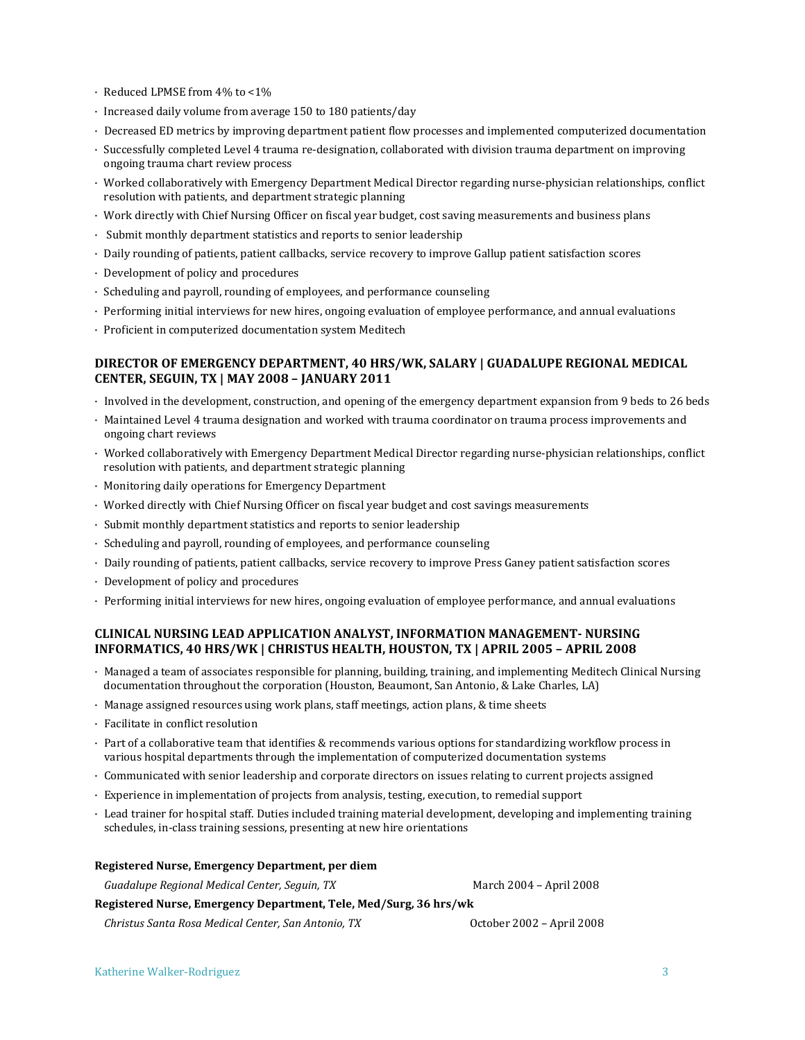- · Reduced LPMSE from 4% to <1%
- · Increased daily volume from average 150 to 180 patients/day
- · Decreased ED metrics by improving department patient flow processes and implemented computerized documentation
- · Successfully completed Level 4 trauma re-designation, collaborated with division trauma department on improving ongoing trauma chart review process
- · Worked collaboratively with Emergency Department Medical Director regarding nurse-physician relationships, conflict resolution with patients, and department strategic planning
- · Work directly with Chief Nursing Officer on fiscal year budget, cost saving measurements and business plans
- · Submit monthly department statistics and reports to senior leadership
- · Daily rounding of patients, patient callbacks, service recovery to improve Gallup patient satisfaction scores
- · Development of policy and procedures
- · Scheduling and payroll, rounding of employees, and performance counseling
- · Performing initial interviews for new hires, ongoing evaluation of employee performance, and annual evaluations
- · Proficient in computerized documentation system Meditech

#### **DIRECTOR OF EMERGENCY DEPARTMENT, 40 HRS/WK, SALARY | GUADALUPE REGIONAL MEDICAL CENTER, SEGUIN, TX | MAY 2008 – JANUARY 2011**

- · Involved in the development, construction, and opening of the emergency department expansion from 9 beds to 26 beds
- · Maintained Level 4 trauma designation and worked with trauma coordinator on trauma process improvements and ongoing chart reviews
- · Worked collaboratively with Emergency Department Medical Director regarding nurse-physician relationships, conflict resolution with patients, and department strategic planning
- · Monitoring daily operations for Emergency Department
- · Worked directly with Chief Nursing Officer on fiscal year budget and cost savings measurements
- · Submit monthly department statistics and reports to senior leadership
- · Scheduling and payroll, rounding of employees, and performance counseling
- · Daily rounding of patients, patient callbacks, service recovery to improve Press Ganey patient satisfaction scores
- · Development of policy and procedures
- · Performing initial interviews for new hires, ongoing evaluation of employee performance, and annual evaluations

#### **CLINICAL NURSING LEAD APPLICATION ANALYST, INFORMATION MANAGEMENT- NURSING INFORMATICS, 40 HRS/WK | CHRISTUS HEALTH, HOUSTON, TX | APRIL 2005 – APRIL 2008**

- · Managed a team of associates responsible for planning, building, training, and implementing Meditech Clinical Nursing documentation throughout the corporation (Houston, Beaumont, San Antonio, & Lake Charles, LA)
- · Manage assigned resources using work plans, staff meetings, action plans, & time sheets
- · Facilitate in conflict resolution
- · Part of a collaborative team that identifies & recommends various options for standardizing workflow process in various hospital departments through the implementation of computerized documentation systems
- · Communicated with senior leadership and corporate directors on issues relating to current projects assigned
- · Experience in implementation of projects from analysis, testing, execution, to remedial support
- · Lead trainer for hospital staff. Duties included training material development, developing and implementing training schedules, in-class training sessions, presenting at new hire orientations

| Registered Nurse, Emergency Department, per diem                  |                           |
|-------------------------------------------------------------------|---------------------------|
| Guadalupe Regional Medical Center, Seguin, TX                     | March 2004 - April 2008   |
| Registered Nurse, Emergency Department, Tele, Med/Surg, 36 hrs/wk |                           |
| Christus Santa Rosa Medical Center, San Antonio, TX               | October 2002 - April 2008 |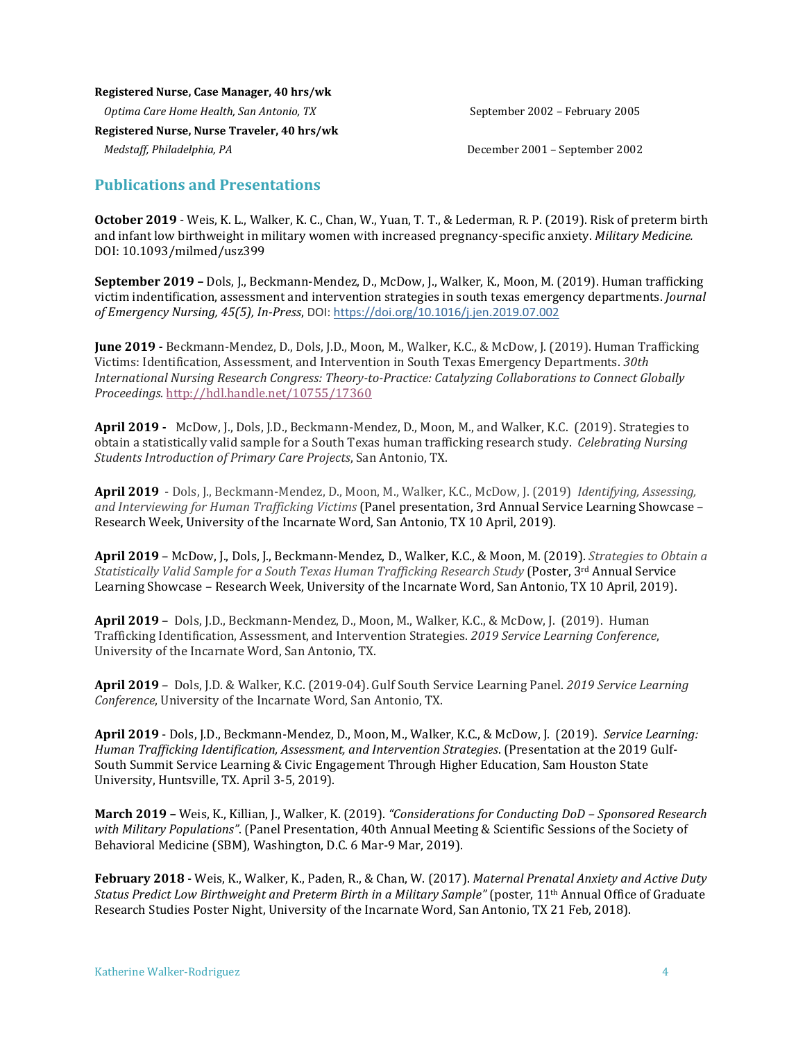#### **Registered Nurse, Case Manager, 40 hrs/wk**

*Optima Care Home Health, San Antonio, TX*  $S_{\text{e}}$  September 2002 – February 2005

**Registered Nurse, Nurse Traveler, 40 hrs/wk**

*Medstaff, Philadelphia, PA* December 2001 – September 2002

# **Publications and Presentations**

**October 2019** - Weis, K. L., Walker, K. C., Chan, W., Yuan, T. T., & Lederman, R. P. (2019). Risk of preterm birth and infant low birthweight in military women with increased pregnancy-specific anxiety. *Military Medicine.*  DOI: 10.1093/milmed/usz399

**September 2019 –** Dols, J., Beckmann-Mendez, D., McDow, J., Walker, K., Moon, M. (2019). Human trafficking victim indentification, assessment and intervention strategies in south texas emergency departments. *Journal of Emergency Nursing, 45(5), In-Press*, DOI: <https://doi.org/10.1016/j.jen.2019.07.002>

**June 2019 -** Beckmann-Mendez, D., Dols, J.D., Moon, M., Walker, K.C., & McDow, J. (2019). Human Trafficking Victims: Identification, Assessment, and Intervention in South Texas Emergency Departments. *30th International Nursing Research Congress: Theory-to-Practice: Catalyzing Collaborations to Connect Globally Proceedings.* [http://hdl.handle.net/10755/17360](https://nam03.safelinks.protection.outlook.com/?url=http%3A%2F%2Fhdl.handle.net%2F10755%2F17360&data=02%7C01%7Ckcwalker%40uiwtx.edu%7C1332b824122143f651be08d7d7068fb5%7C0625d309c5bc41209828ea3d7071af19%7C0%7C0%7C637214295786470564&sdata=5EpLAUJAsHwmbFRmf87EVnSPkmflFEegufAwya6SPKA%3D&reserved=0)

**April 2019 -** McDow, J., Dols, J.D., Beckmann-Mendez, D., Moon, M., and Walker, K.C. (2019). Strategies to obtain a statistically valid sample for a South Texas human trafficking research study. *Celebrating Nursing Students Introduction of Primary Care Projects*, San Antonio, TX.

**April 2019** - Dols, J., Beckmann-Mendez, D., Moon, M., Walker, K.C., McDow, J. (2019) *Identifying, Assessing, and Interviewing for Human Trafficking Victims* (Panel presentation, 3rd Annual Service Learning Showcase – Research Week, University of the Incarnate Word, San Antonio, TX 10 April, 2019).

**April 2019** – McDow, J., Dols, J., Beckmann-Mendez, D., Walker, K.C., & Moon, M. (2019). *Strategies to Obtain a Statistically Valid Sample for a South Texas Human Trafficking Research Study* (Poster, 3rd Annual Service Learning Showcase – Research Week, University of the Incarnate Word, San Antonio, TX 10 April, 2019).

**April 2019** – Dols, J.D., Beckmann-Mendez, D., Moon, M., Walker, K.C., & McDow, J. (2019). Human Trafficking Identification, Assessment, and Intervention Strategies. *2019 Service Learning Conference*, University of the Incarnate Word, San Antonio, TX.

**April 2019** – Dols, J.D. & Walker, K.C. (2019-04). Gulf South Service Learning Panel. *2019 Service Learning Conference*, University of the Incarnate Word, San Antonio, TX.

**April 2019** - Dols, J.D., Beckmann-Mendez, D., Moon, M., Walker, K.C., & McDow, J. (2019). *Service Learning: Human Trafficking Identification, Assessment, and Intervention Strategies*. (Presentation at the 2019 Gulf-South Summit Service Learning & Civic Engagement Through Higher Education, Sam Houston State University, Huntsville, TX. April 3-5, 2019).

**March 2019 –** Weis, K., Killian, J., Walker, K. (2019). *"Considerations for Conducting DoD – Sponsored Research with Military Populations"*. (Panel Presentation, 40th Annual Meeting & Scientific Sessions of the Society of Behavioral Medicine (SBM), Washington, D.C. 6 Mar-9 Mar, 2019).

**February 2018** - Weis, K., Walker, K., Paden, R., & Chan, W. (2017). *Maternal Prenatal Anxiety and Active Duty Status Predict Low Birthweight and Preterm Birth in a Military Sample"* (poster, 11th Annual Office of Graduate Research Studies Poster Night, University of the Incarnate Word, San Antonio, TX 21 Feb, 2018).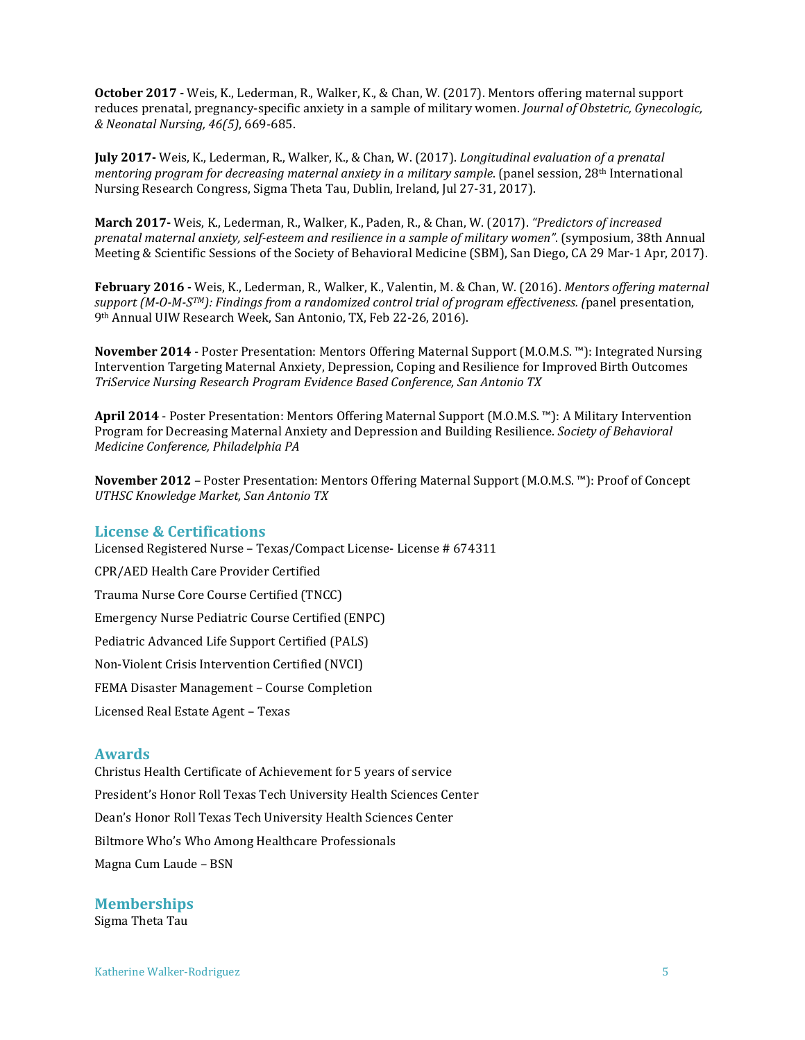**October 2017 -** Weis, K., Lederman, R., Walker, K., & Chan, W. (2017). Mentors offering maternal support reduces prenatal, pregnancy-specific anxiety in a sample of military women. *Journal of Obstetric, Gynecologic, & Neonatal Nursing, 46(5)*, 669-685.

**July 2017-** Weis, K., Lederman, R., Walker, K., & Chan, W. (2017). *Longitudinal evaluation of a prenatal mentoring program for decreasing maternal anxiety in a military sample*. (panel session, 28<sup>th</sup> International Nursing Research Congress, Sigma Theta Tau, Dublin, Ireland, Jul 27-31, 2017).

**March 2017-** Weis, K., Lederman, R., Walker, K., Paden, R., & Chan, W. (2017). *"Predictors of increased prenatal maternal anxiety, self-esteem and resilience in a sample of military women"*. (symposium, 38th Annual Meeting & Scientific Sessions of the Society of Behavioral Medicine (SBM), San Diego, CA 29 Mar-1 Apr, 2017).

**February 2016 -** Weis, K., Lederman, R., Walker, K., Valentin, M. & Chan, W. (2016). *Mentors offering maternal support (M-O-M-STM): Findings from a randomized control trial of program effectiveness. (*panel presentation, 9th Annual UIW Research Week, San Antonio, TX, Feb 22-26, 2016).

**November 2014** - Poster Presentation: Mentors Offering Maternal Support (M.O.M.S. ™): Integrated Nursing Intervention Targeting Maternal Anxiety, Depression, Coping and Resilience for Improved Birth Outcomes *TriService Nursing Research Program Evidence Based Conference, San Antonio TX*

**April 2014** - Poster Presentation: Mentors Offering Maternal Support (M.O.M.S. ™): A Military Intervention Program for Decreasing Maternal Anxiety and Depression and Building Resilience. *Society of Behavioral Medicine Conference, Philadelphia PA*

**November 2012** – Poster Presentation: Mentors Offering Maternal Support (M.O.M.S. ™): Proof of Concept *UTHSC Knowledge Market, San Antonio TX*

## **License & Certifications**

Licensed Registered Nurse – Texas/Compact License- License # 674311

CPR/AED Health Care Provider Certified Trauma Nurse Core Course Certified (TNCC) Emergency Nurse Pediatric Course Certified (ENPC)

Pediatric Advanced Life Support Certified (PALS)

Non-Violent Crisis Intervention Certified (NVCI)

FEMA Disaster Management – Course Completion

Licensed Real Estate Agent – Texas

#### **Awards**

Christus Health Certificate of Achievement for 5 years of service President's Honor Roll Texas Tech University Health Sciences Center Dean's Honor Roll Texas Tech University Health Sciences Center Biltmore Who's Who Among Healthcare Professionals Magna Cum Laude – BSN

**Memberships** Sigma Theta Tau